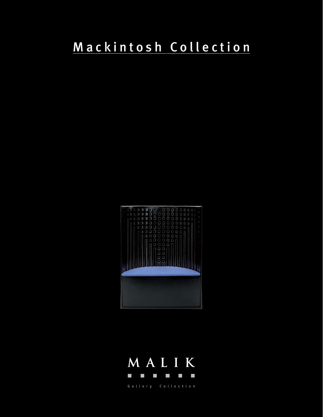## Mackintosh Collection



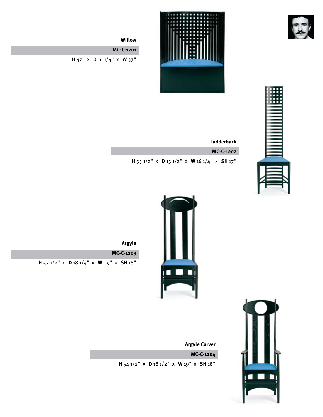



**Willow**

**MC-C-1201**

**H** 47" x **D** 16 1/4" x **W** 37"



**Ladderback MC-C-1202**

**H** 55 1/2" x **D** 15 1/2" x **W** 16 1/4" x **SH** 17"



**Argyle**

**MC-C-1203 H** 53 1/2" x **D** 18 1/4" x **W** 19" x **SH** 18"



**Argyle Carver**

**MC-C-1204** 

**H** 54 1/2" x **D** 18 1/2" x **W** 19" x **SH** 18"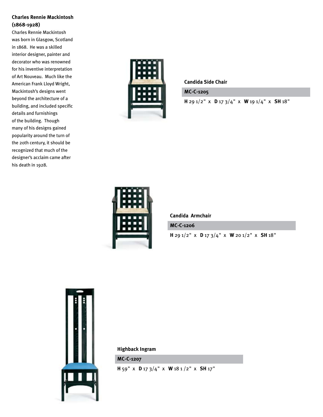## **Charles Rennie Mackintosh (1868-1928)**

Charles Rennie Mackintosh was born in Glasgow, Scotland in 1868. He was a skilled interior designer, painter and decorator who was renowned for his inventive interpretation of Art Nouveau. Much like the American Frank Lloyd Wright, Mackintosh's designs went beyond the architecture of a building, and included specific details and furnishings of the building. Though many of his designs gained popularity around the turn of the 20th century, it should be recognized that much of the designer's acclaim came after his death in 1928.



**Candida Side Chair**

**MC-C-1205** 

**H** 29 1/2" x **D** 17 3/4" x **W** 19 1/4" x **SH** 18"



**Candida Armchair**

**MC-C-1206** 

**H** 29 1/2" x **D** 17 3/4" x **W** 20 1/2" x **SH** 18"



**Highback Ingram**

**MC-C-1207** 

**H** 59" x **D** 17 3/4" x **W** 18 1 /2" x **SH** 17"